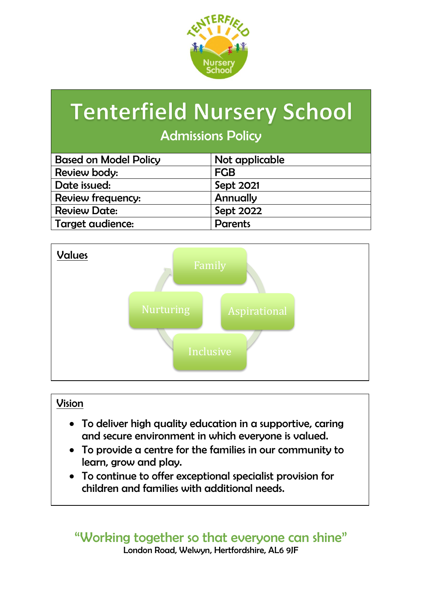

# **Tenterfield Nursery School**

### Admissions Policy

| Not applicable |
|----------------|
| <b>FGB</b>     |
| Sept 2021      |
| Annually       |
| Sept 2022      |
| <b>Parents</b> |
|                |



### Vision

- To deliver high quality education in a supportive, caring and secure environment in which everyone is valued.
- To provide a centre for the families in our community to learn, grow and play.
- To continue to offer exceptional specialist provision for children and families with additional needs.

### "Working together so that everyone can shine" London Road, Welwyn, Hertfordshire, AL6 9JF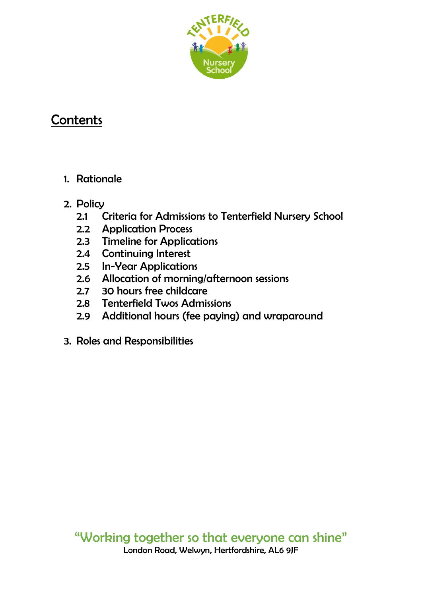

# **Contents**

- 1. Rationale
- 2. Policy
	- 2.1 Criteria for Admissions to Tenterfield Nursery School
	- 2.2 Application Process
	- 2.3 Timeline for Applications
	- 2.4 Continuing Interest
	- 2.5 In-Year Applications
	- 2.6 Allocation of morning/afternoon sessions
	- 2.7 30 hours free childcare
	- 2.8 Tenterfield Twos Admissions
	- 2.9 Additional hours (fee paying) and wraparound
- 3. Roles and Responsibilities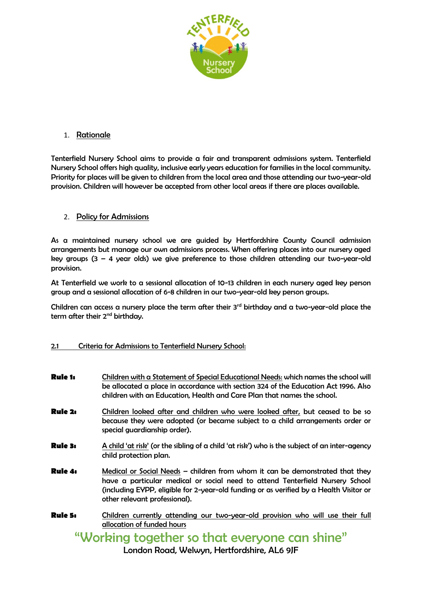

### 1. Rationale

Tenterfield Nursery School aims to provide a fair and transparent admissions system. Tenterfield Nursery School offers high quality, inclusive early years education for families in the local community. Priority for places will be given to children from the local area and those attending our two-year-old provision. Children will however be accepted from other local areas if there are places available.

### 2. Policy for Admissions

As a maintained nursery school we are guided by Hertfordshire County Council admission arrangements but manage our own admissions process. When offering places into our nursery aged key groups  $(3 - 4$  year olds) we give preference to those children attending our two-year-old provision.

At Tenterfield we work to a sessional allocation of 10-13 children in each nursery aged key person group and a sessional allocation of 6-8 children in our two-year-old key person groups.

Children can access a nursery place the term after their 3<sup>rd</sup> birthday and a two-year-old place the term after their 2<sup>nd</sup> birthday.

### 2.1 Criteria for Admissions to Tenterfield Nursery School:

| Children with a Statement of Special Educational Needs: which names the school will<br>be allocated a place in accordance with section 324 of the Education Act 1996. Also<br>children with an Education, Health and Care Plan that names the school.                                     |
|-------------------------------------------------------------------------------------------------------------------------------------------------------------------------------------------------------------------------------------------------------------------------------------------|
| Children looked after and children who were looked after, but ceased to be so<br>because they were adopted (or became subject to a child arrangements order or<br>special guardianship order).                                                                                            |
| A child 'at risk' (or the sibling of a child 'at risk') who is the subject of an inter-agency<br>child protection plan.                                                                                                                                                                   |
| Medical or Social Needs - children from whom it can be demonstrated that they<br>have a particular medical or social need to attend Tenterfield Nursery School<br>(including EYPP, eligible for 2-year-old funding or as verified by a Health Visitor or<br>other relevant professional). |
| Children currently attending our two-year-old provision who will use their full<br>allocation of funded hours                                                                                                                                                                             |
|                                                                                                                                                                                                                                                                                           |

Working together so that everyone can shine

London Road, Welwyn, Hertfordshire, AL6 9JF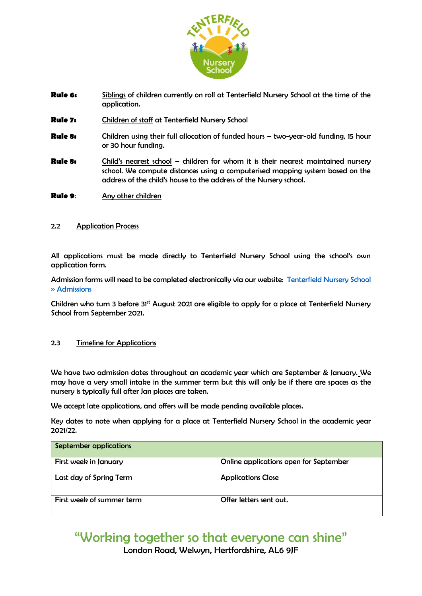

- **Rule 6:** Siblings of children currently on roll at Tenterfield Nursery School at the time of the application.
- **Rule 7:** Children of staff at Tenterfield Nursery School
- **Rule 8:** Children using their full allocation of funded hours two-year-old funding, 15 hour or 30 hour funding.
- **Rule 8:** Child's nearest school children for whom it is their nearest maintained nursery school. We compute distances using a computerised mapping system based on the address of the child's house to the address of the Nursery school.
- **Rule 9**: Any other children

#### 2.2 Application Process

All applications must be made directly to Tenterfield Nursery School using the school's own application form.

Admission forms will need to be completed electronically via our website: [Tenterfield Nursery School](https://tenterfield.herts.sch.uk/about-us/admissions/)  [» Admissions](https://tenterfield.herts.sch.uk/about-us/admissions/)

Children who turn 3 before 31<sup>st</sup> August 2021 are eligible to apply for a place at Tenterfield Nursery School from September 2021.

#### 2.3 Timeline for Applications

We have two admission dates throughout an academic year which are September & January. We may have a very small intake in the summer term but this will only be if there are spaces as the nursery is typically full after Jan places are taken.

We accept late applications, and offers will be made pending available places.

Key dates to note when applying for a place at Tenterfield Nursery School in the academic year 2021/22.

| <b>September applications</b> |                                        |
|-------------------------------|----------------------------------------|
| First week in January         | Online applications open for September |
| Last day of Spring Term       | <b>Applications Close</b>              |
| First week of summer term     | Offer letters sent out.                |

# "Working together so that everyone can shine"

London Road, Welwyn, Hertfordshire, AL6 9JF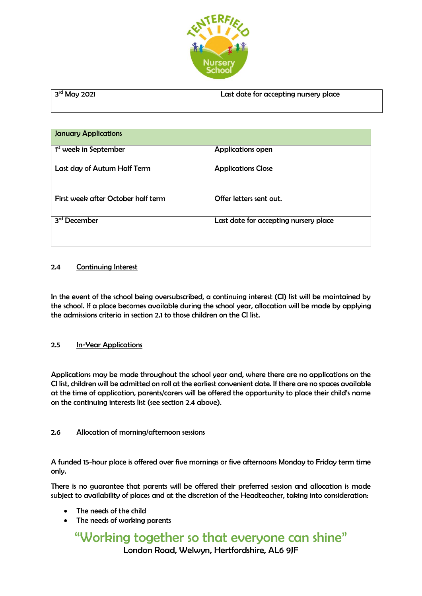

| $3rd$ May 2021 | Last date for accepting nursery place |
|----------------|---------------------------------------|
|                |                                       |

| <b>January Applications</b>        |                                       |  |
|------------------------------------|---------------------------------------|--|
| 1 <sup>st</sup> week in September  | <b>Applications open</b>              |  |
| Last day of Autum Half Term        | <b>Applications Close</b>             |  |
| First week after October half term | Offer letters sent out.               |  |
| 3 <sup>rd</sup> December           | Last date for accepting nursery place |  |

### 2.4 Continuing Interest

In the event of the school being oversubscribed, a continuing interest (CI) list will be maintained by the school. If a place becomes available during the school year, allocation will be made by applying the admissions criteria in section 2.1 to those children on the CI list.

### 2.5 In-Year Applications

Applications may be made throughout the school year and, where there are no applications on the CI list, children will be admitted on roll at the earliest convenient date. If there are no spaces available at the time of application, parents/carers will be offered the opportunity to place their child's name on the continuing interests list (see section 2.4 above).

### 2.6 Allocation of morning/afternoon sessions

A funded 15-hour place is offered over five mornings or five afternoons Monday to Friday term time only.

There is no guarantee that parents will be offered their preferred session and allocation is made subject to availability of places and at the discretion of the Headteacher, taking into consideration:

- The needs of the child
- The needs of working parents

### "Working together so that everyone can shine" London Road, Welwyn, Hertfordshire, AL6 9JF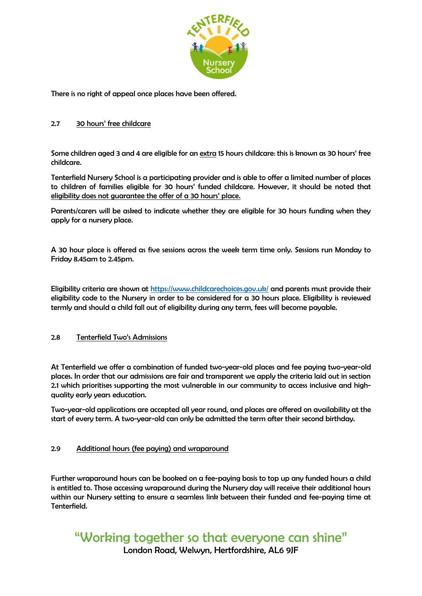

There is no right of appeal once places have been offered.

#### 2.7 30 hours' free childcare

Some children aged 3 and 4 are eligible for an extra 15 hours childcare: this is known as 30 hours' free childcare.

Tenterfield Nursery School is a participating provider and is able to offer a limited number of places to children of families eligible for 30 hours' funded childcare. However, it should be noted that eligibility does not guarantee the offer of a 30 hours' place.

Parents/carers will be asked to indicate whether they are eligible for 30 hours funding when they apply for a nursery place.

A 30 hour place is offered as five sessions across the week term time only. Sessions run Monday to Friday 8.45am to 2.45pm.

Eligibility criteria are shown at<https://www.childcarechoices.gov.uk/> and parents must provide their eligibility code to the Nursery in order to be considered for a 30 hours place. Eligibility is reviewed termly and should a child fall out of eligibility during any term, fees will become payable.

#### 2.8 Tenterfield Two's Admissions

At Tenterfield we offer a combination of funded two-year-old places and fee paying two-year-old places. In order that our admissions are fair and transparent we apply the criteria laid out in section 2.1 which prioritises supporting the most vulnerable in our community to access inclusive and highquality early years education.

Two-year-old applications are accepted all year round, and places are offered on availability at the start of every term. A two-year-old can only be admitted the term after their second birthday.

### 2.9 Additional hours (fee paying) and wraparound

Further wraparound hours can be booked on a fee-paying basis to top up any funded hours a child is entitled to. Those accessing wraparound during the Nursery day will receive their additional hours within our Nursery setting to ensure a seamless link between their funded and fee-paying time at Tenterfield.

# "Working together so that everyone can shine"

London Road, Welwyn, Hertfordshire, AL6 9JF